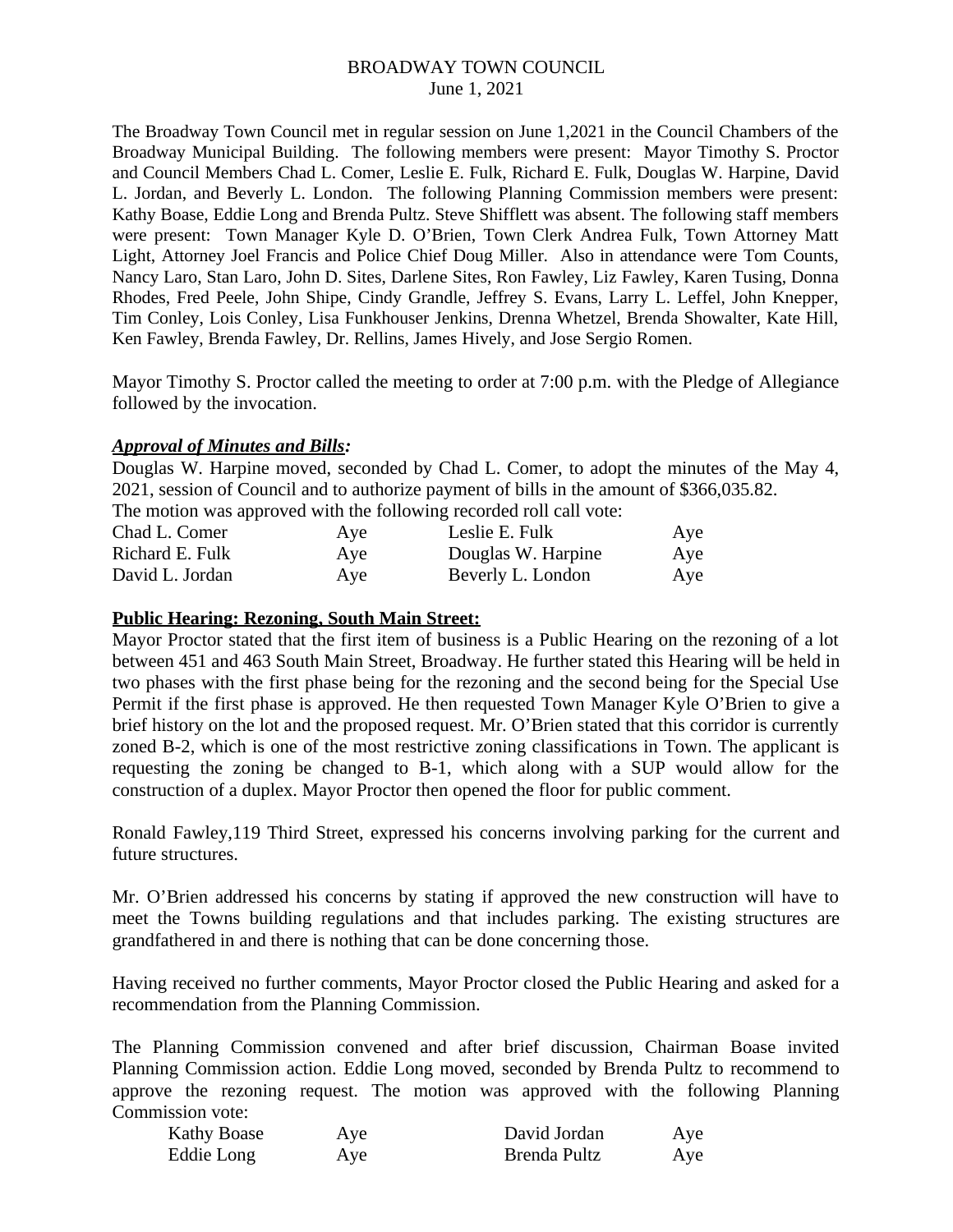The Broadway Town Council met in regular session on June 1,2021 in the Council Chambers of the Broadway Municipal Building. The following members were present: Mayor Timothy S. Proctor and Council Members Chad L. Comer, Leslie E. Fulk, Richard E. Fulk, Douglas W. Harpine, David L. Jordan, and Beverly L. London. The following Planning Commission members were present: Kathy Boase, Eddie Long and Brenda Pultz. Steve Shifflett was absent. The following staff members were present: Town Manager Kyle D. O'Brien, Town Clerk Andrea Fulk, Town Attorney Matt Light, Attorney Joel Francis and Police Chief Doug Miller. Also in attendance were Tom Counts, Nancy Laro, Stan Laro, John D. Sites, Darlene Sites, Ron Fawley, Liz Fawley, Karen Tusing, Donna Rhodes, Fred Peele, John Shipe, Cindy Grandle, Jeffrey S. Evans, Larry L. Leffel, John Knepper, Tim Conley, Lois Conley, Lisa Funkhouser Jenkins, Drenna Whetzel, Brenda Showalter, Kate Hill, Ken Fawley, Brenda Fawley, Dr. Rellins, James Hively, and Jose Sergio Romen.

Mayor Timothy S. Proctor called the meeting to order at 7:00 p.m. with the Pledge of Allegiance followed by the invocation.

## *Approval of Minutes and Bills:*

Douglas W. Harpine moved, seconded by Chad L. Comer, to adopt the minutes of the May 4, 2021, session of Council and to authorize payment of bills in the amount of \$366,035.82. The motion was approved with the following recorded roll call vote:

|                 |     | The induction was approved with the following recorded foll call vote. |     |
|-----------------|-----|------------------------------------------------------------------------|-----|
| Chad L. Comer   | Aye | Leslie E. Fulk                                                         | Aye |
| Richard E. Fulk | Aye | Douglas W. Harpine                                                     | Aye |
| David L. Jordan | Aye | Beverly L. London                                                      | Aye |

## **Public Hearing: Rezoning, South Main Street:**

Mayor Proctor stated that the first item of business is a Public Hearing on the rezoning of a lot between 451 and 463 South Main Street, Broadway. He further stated this Hearing will be held in two phases with the first phase being for the rezoning and the second being for the Special Use Permit if the first phase is approved. He then requested Town Manager Kyle O'Brien to give a brief history on the lot and the proposed request. Mr. O'Brien stated that this corridor is currently zoned B-2, which is one of the most restrictive zoning classifications in Town. The applicant is requesting the zoning be changed to B-1, which along with a SUP would allow for the construction of a duplex. Mayor Proctor then opened the floor for public comment.

Ronald Fawley,119 Third Street, expressed his concerns involving parking for the current and future structures.

Mr. O'Brien addressed his concerns by stating if approved the new construction will have to meet the Towns building regulations and that includes parking. The existing structures are grandfathered in and there is nothing that can be done concerning those.

Having received no further comments, Mayor Proctor closed the Public Hearing and asked for a recommendation from the Planning Commission.

The Planning Commission convened and after brief discussion, Chairman Boase invited Planning Commission action. Eddie Long moved, seconded by Brenda Pultz to recommend to approve the rezoning request. The motion was approved with the following Planning Commission vote:

| Kathy Boase | Aye | David Jordan | Aye |
|-------------|-----|--------------|-----|
| Eddie Long  | Aye | Brenda Pultz | Aye |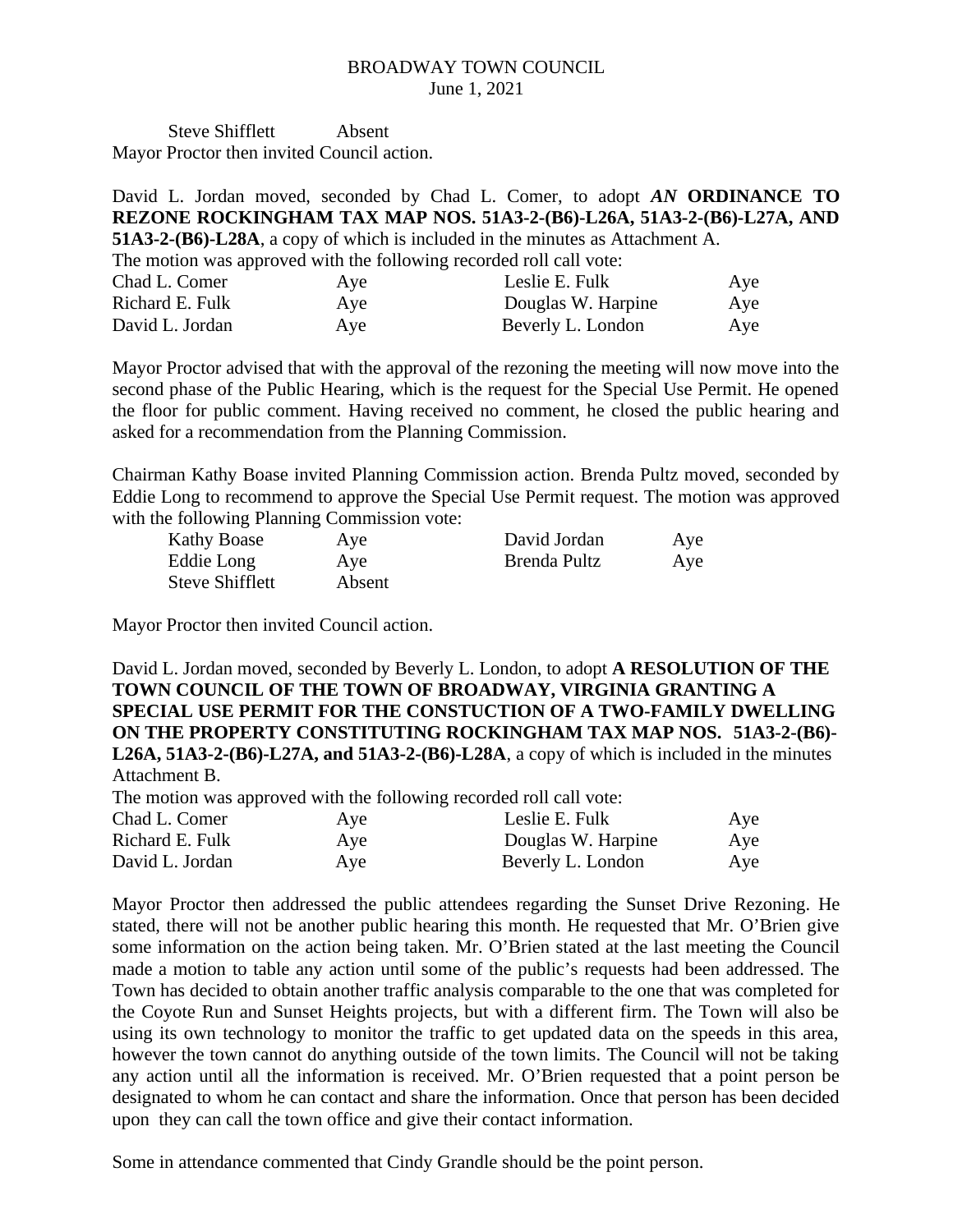Steve Shifflett Absent Mayor Proctor then invited Council action.

David L. Jordan moved, seconded by Chad L. Comer, to adopt *AN* **ORDINANCE TO REZONE ROCKINGHAM TAX MAP NOS. 51A3-2-(B6)-L26A, 51A3-2-(B6)-L27A, AND 51A3-2-(B6)-L28A**, a copy of which is included in the minutes as Attachment A. The motion was approved with the following recorded roll call vote: Chad L. Comer Aye **Aye** Leslie E. Fulk Aye Richard E. Fulk **Aye Axe Douglas W. Harpine Aye** David L. Jordan **Aye** Beverly L. London **Aye** 

Mayor Proctor advised that with the approval of the rezoning the meeting will now move into the second phase of the Public Hearing, which is the request for the Special Use Permit. He opened the floor for public comment. Having received no comment, he closed the public hearing and asked for a recommendation from the Planning Commission.

Chairman Kathy Boase invited Planning Commission action. Brenda Pultz moved, seconded by Eddie Long to recommend to approve the Special Use Permit request. The motion was approved with the following Planning Commission vote:

| Kathy Boase            | Aye    | David Jordan | Aye |
|------------------------|--------|--------------|-----|
| Eddie Long             | Aye    | Brenda Pultz | Aye |
| <b>Steve Shifflett</b> | Absent |              |     |

Mayor Proctor then invited Council action.

David L. Jordan moved, seconded by Beverly L. London, to adopt **A RESOLUTION OF THE TOWN COUNCIL OF THE TOWN OF BROADWAY, VIRGINIA GRANTING A SPECIAL USE PERMIT FOR THE CONSTUCTION OF A TWO-FAMILY DWELLING ON THE PROPERTY CONSTITUTING ROCKINGHAM TAX MAP NOS. 51A3-2-(B6)- L26A, 51A3-2-(B6)-L27A, and 51A3-2-(B6)-L28A**, a copy of which is included in the minutes Attachment B.

The motion was approved with the following recorded roll call vote:

| Aye | Leslie E. Fulk     | Aye |
|-----|--------------------|-----|
| Aye | Douglas W. Harpine | Aye |
| Ave | Beverly L. London  | Aye |
|     |                    |     |

Mayor Proctor then addressed the public attendees regarding the Sunset Drive Rezoning. He stated, there will not be another public hearing this month. He requested that Mr. O'Brien give some information on the action being taken. Mr. O'Brien stated at the last meeting the Council made a motion to table any action until some of the public's requests had been addressed. The Town has decided to obtain another traffic analysis comparable to the one that was completed for the Coyote Run and Sunset Heights projects, but with a different firm. The Town will also be using its own technology to monitor the traffic to get updated data on the speeds in this area, however the town cannot do anything outside of the town limits. The Council will not be taking any action until all the information is received. Mr. O'Brien requested that a point person be designated to whom he can contact and share the information. Once that person has been decided upon they can call the town office and give their contact information.

Some in attendance commented that Cindy Grandle should be the point person.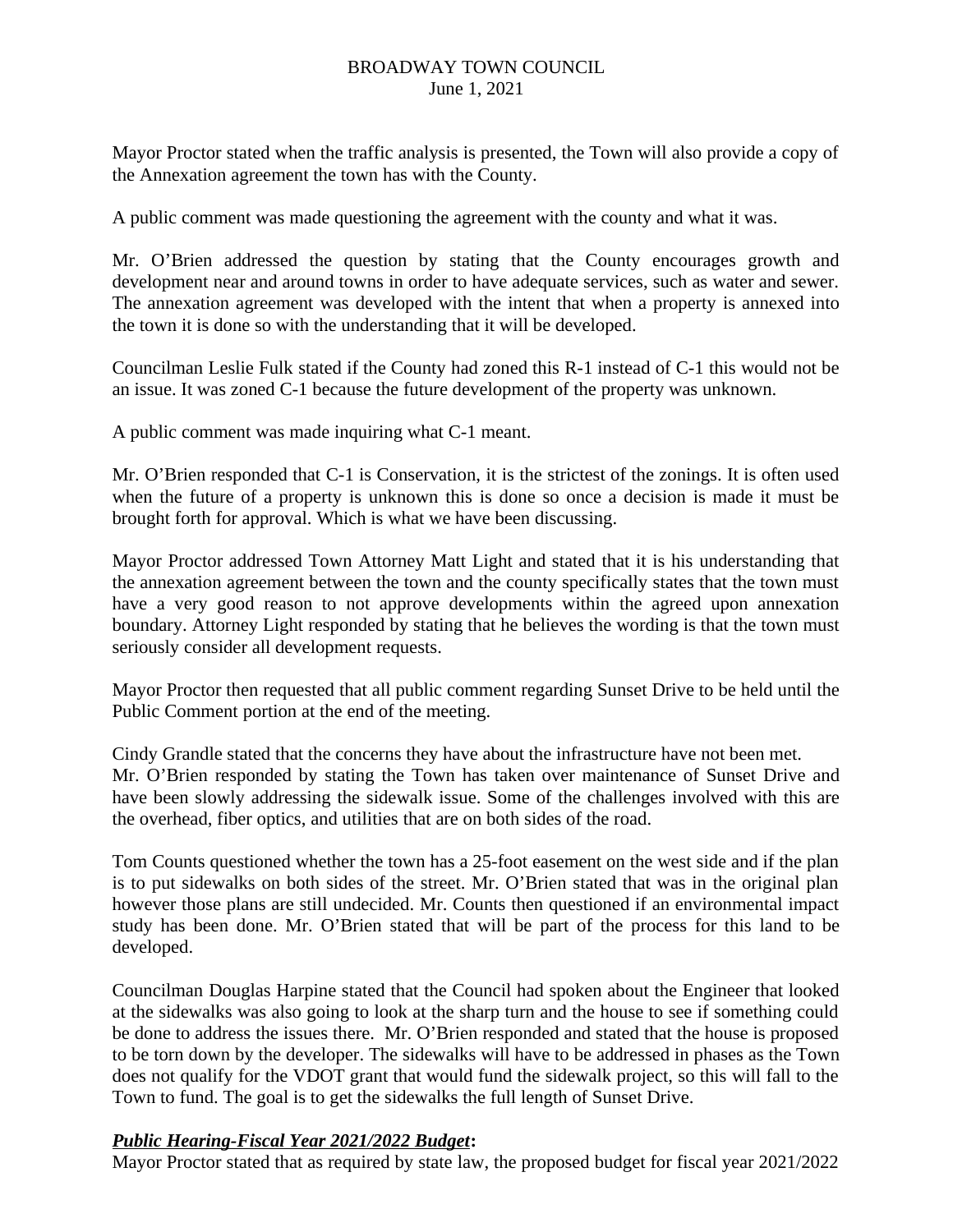Mayor Proctor stated when the traffic analysis is presented, the Town will also provide a copy of the Annexation agreement the town has with the County.

A public comment was made questioning the agreement with the county and what it was.

Mr. O'Brien addressed the question by stating that the County encourages growth and development near and around towns in order to have adequate services, such as water and sewer. The annexation agreement was developed with the intent that when a property is annexed into the town it is done so with the understanding that it will be developed.

Councilman Leslie Fulk stated if the County had zoned this R-1 instead of C-1 this would not be an issue. It was zoned C-1 because the future development of the property was unknown.

A public comment was made inquiring what C-1 meant.

Mr. O'Brien responded that C-1 is Conservation, it is the strictest of the zonings. It is often used when the future of a property is unknown this is done so once a decision is made it must be brought forth for approval. Which is what we have been discussing.

Mayor Proctor addressed Town Attorney Matt Light and stated that it is his understanding that the annexation agreement between the town and the county specifically states that the town must have a very good reason to not approve developments within the agreed upon annexation boundary. Attorney Light responded by stating that he believes the wording is that the town must seriously consider all development requests.

Mayor Proctor then requested that all public comment regarding Sunset Drive to be held until the Public Comment portion at the end of the meeting.

Cindy Grandle stated that the concerns they have about the infrastructure have not been met. Mr. O'Brien responded by stating the Town has taken over maintenance of Sunset Drive and have been slowly addressing the sidewalk issue. Some of the challenges involved with this are the overhead, fiber optics, and utilities that are on both sides of the road.

Tom Counts questioned whether the town has a 25-foot easement on the west side and if the plan is to put sidewalks on both sides of the street. Mr. O'Brien stated that was in the original plan however those plans are still undecided. Mr. Counts then questioned if an environmental impact study has been done. Mr. O'Brien stated that will be part of the process for this land to be developed.

Councilman Douglas Harpine stated that the Council had spoken about the Engineer that looked at the sidewalks was also going to look at the sharp turn and the house to see if something could be done to address the issues there. Mr. O'Brien responded and stated that the house is proposed to be torn down by the developer. The sidewalks will have to be addressed in phases as the Town does not qualify for the VDOT grant that would fund the sidewalk project, so this will fall to the Town to fund. The goal is to get the sidewalks the full length of Sunset Drive.

## *Public Hearing-Fiscal Year 2021/2022 Budget***:**

Mayor Proctor stated that as required by state law, the proposed budget for fiscal year 2021/2022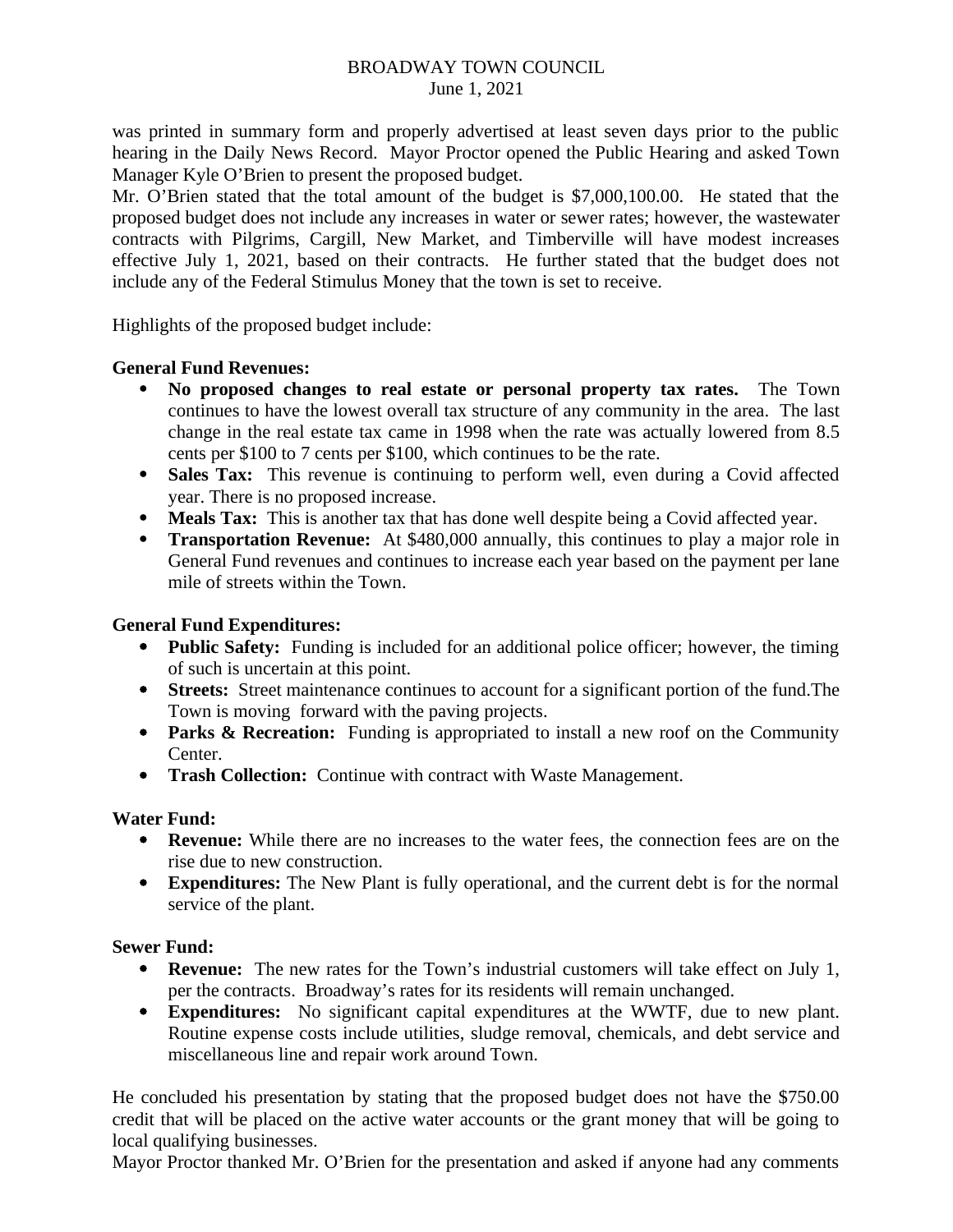was printed in summary form and properly advertised at least seven days prior to the public hearing in the Daily News Record. Mayor Proctor opened the Public Hearing and asked Town Manager Kyle O'Brien to present the proposed budget.

Mr. O'Brien stated that the total amount of the budget is \$7,000,100.00. He stated that the proposed budget does not include any increases in water or sewer rates; however, the wastewater contracts with Pilgrims, Cargill, New Market, and Timberville will have modest increases effective July 1, 2021, based on their contracts. He further stated that the budget does not include any of the Federal Stimulus Money that the town is set to receive.

Highlights of the proposed budget include:

# **General Fund Revenues:**

- **No proposed changes to real estate or personal property tax rates.** The Town continues to have the lowest overall tax structure of any community in the area. The last change in the real estate tax came in 1998 when the rate was actually lowered from 8.5 cents per \$100 to 7 cents per \$100, which continues to be the rate.
- **Sales Tax:** This revenue is continuing to perform well, even during a Covid affected year. There is no proposed increase.
- **Meals Tax:** This is another tax that has done well despite being a Covid affected year.
- **Transportation Revenue:** At \$480,000 annually, this continues to play a major role in General Fund revenues and continues to increase each year based on the payment per lane mile of streets within the Town.

## **General Fund Expenditures:**

- **Public Safety:** Funding is included for an additional police officer; however, the timing of such is uncertain at this point.
- **Streets:** Street maintenance continues to account for a significant portion of the fund.The Town is moving forward with the paving projects.
- **Parks & Recreation:** Funding is appropriated to install a new roof on the Community Center.
- **Trash Collection:** Continue with contract with Waste Management.

## **Water Fund:**

- **Revenue:** While there are no increases to the water fees, the connection fees are on the rise due to new construction.
- **Expenditures:** The New Plant is fully operational, and the current debt is for the normal service of the plant.

## **Sewer Fund:**

- **Revenue:** The new rates for the Town's industrial customers will take effect on July 1, per the contracts. Broadway's rates for its residents will remain unchanged.
- **Expenditures:** No significant capital expenditures at the WWTF, due to new plant. Routine expense costs include utilities, sludge removal, chemicals, and debt service and miscellaneous line and repair work around Town.

He concluded his presentation by stating that the proposed budget does not have the \$750.00 credit that will be placed on the active water accounts or the grant money that will be going to local qualifying businesses.

Mayor Proctor thanked Mr. O'Brien for the presentation and asked if anyone had any comments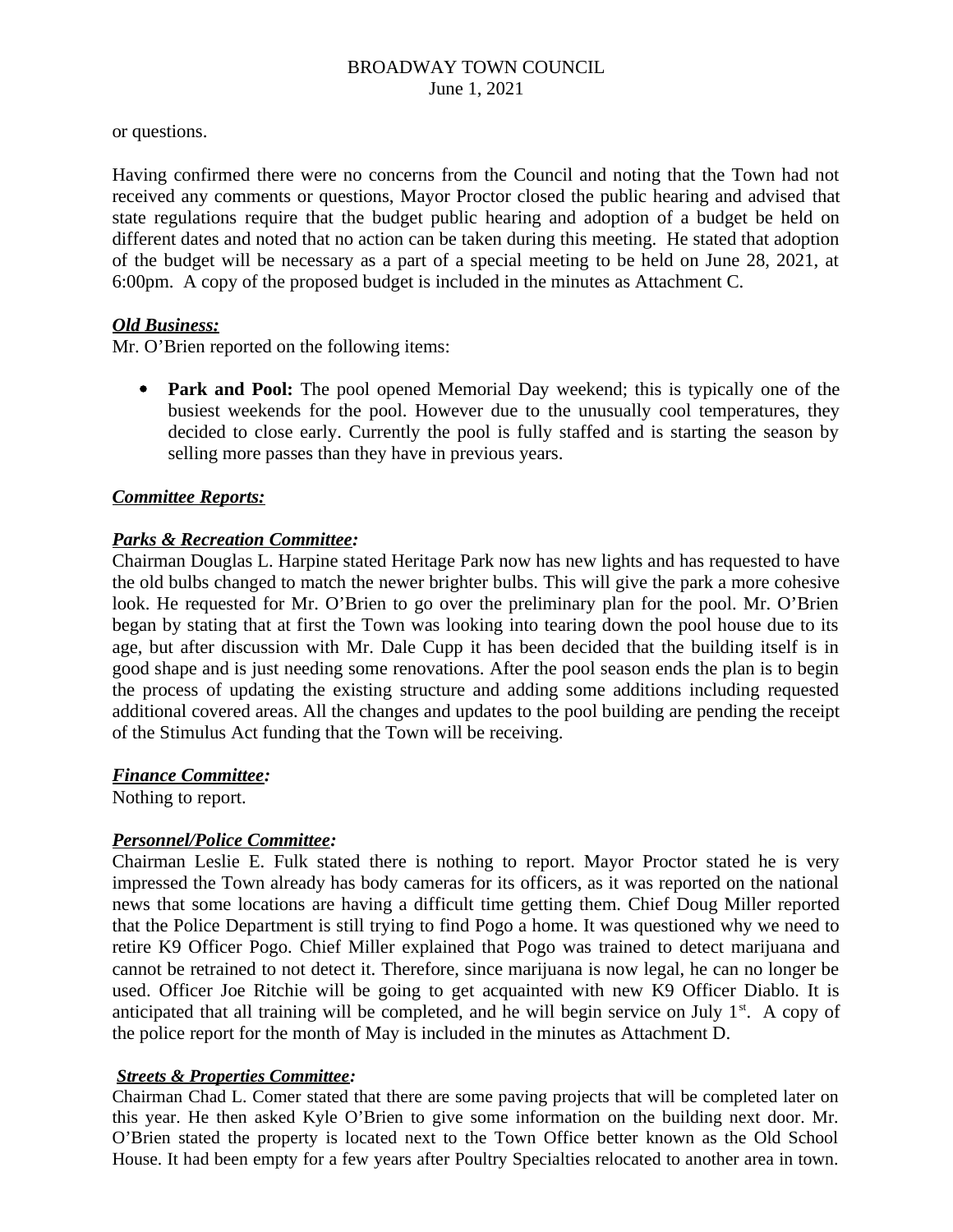or questions.

Having confirmed there were no concerns from the Council and noting that the Town had not received any comments or questions, Mayor Proctor closed the public hearing and advised that state regulations require that the budget public hearing and adoption of a budget be held on different dates and noted that no action can be taken during this meeting. He stated that adoption of the budget will be necessary as a part of a special meeting to be held on June 28, 2021, at 6:00pm. A copy of the proposed budget is included in the minutes as Attachment C.

## *Old Business:*

Mr. O'Brien reported on the following items:

**Park and Pool:** The pool opened Memorial Day weekend; this is typically one of the busiest weekends for the pool. However due to the unusually cool temperatures, they decided to close early. Currently the pool is fully staffed and is starting the season by selling more passes than they have in previous years.

## *Committee Reports:*

## *Parks & Recreation Committee:*

Chairman Douglas L. Harpine stated Heritage Park now has new lights and has requested to have the old bulbs changed to match the newer brighter bulbs. This will give the park a more cohesive look. He requested for Mr. O'Brien to go over the preliminary plan for the pool. Mr. O'Brien began by stating that at first the Town was looking into tearing down the pool house due to its age, but after discussion with Mr. Dale Cupp it has been decided that the building itself is in good shape and is just needing some renovations. After the pool season ends the plan is to begin the process of updating the existing structure and adding some additions including requested additional covered areas. All the changes and updates to the pool building are pending the receipt of the Stimulus Act funding that the Town will be receiving.

## *Finance Committee:*

Nothing to report.

## *Personnel/Police Committee:*

Chairman Leslie E. Fulk stated there is nothing to report. Mayor Proctor stated he is very impressed the Town already has body cameras for its officers, as it was reported on the national news that some locations are having a difficult time getting them. Chief Doug Miller reported that the Police Department is still trying to find Pogo a home. It was questioned why we need to retire K9 Officer Pogo. Chief Miller explained that Pogo was trained to detect marijuana and cannot be retrained to not detect it. Therefore, since marijuana is now legal, he can no longer be used. Officer Joe Ritchie will be going to get acquainted with new K9 Officer Diablo. It is anticipated that all training will be completed, and he will begin service on July  $1<sup>st</sup>$ . A copy of the police report for the month of May is included in the minutes as Attachment D.

## *Streets & Properties Committee:*

Chairman Chad L. Comer stated that there are some paving projects that will be completed later on this year. He then asked Kyle O'Brien to give some information on the building next door. Mr. O'Brien stated the property is located next to the Town Office better known as the Old School House. It had been empty for a few years after Poultry Specialties relocated to another area in town.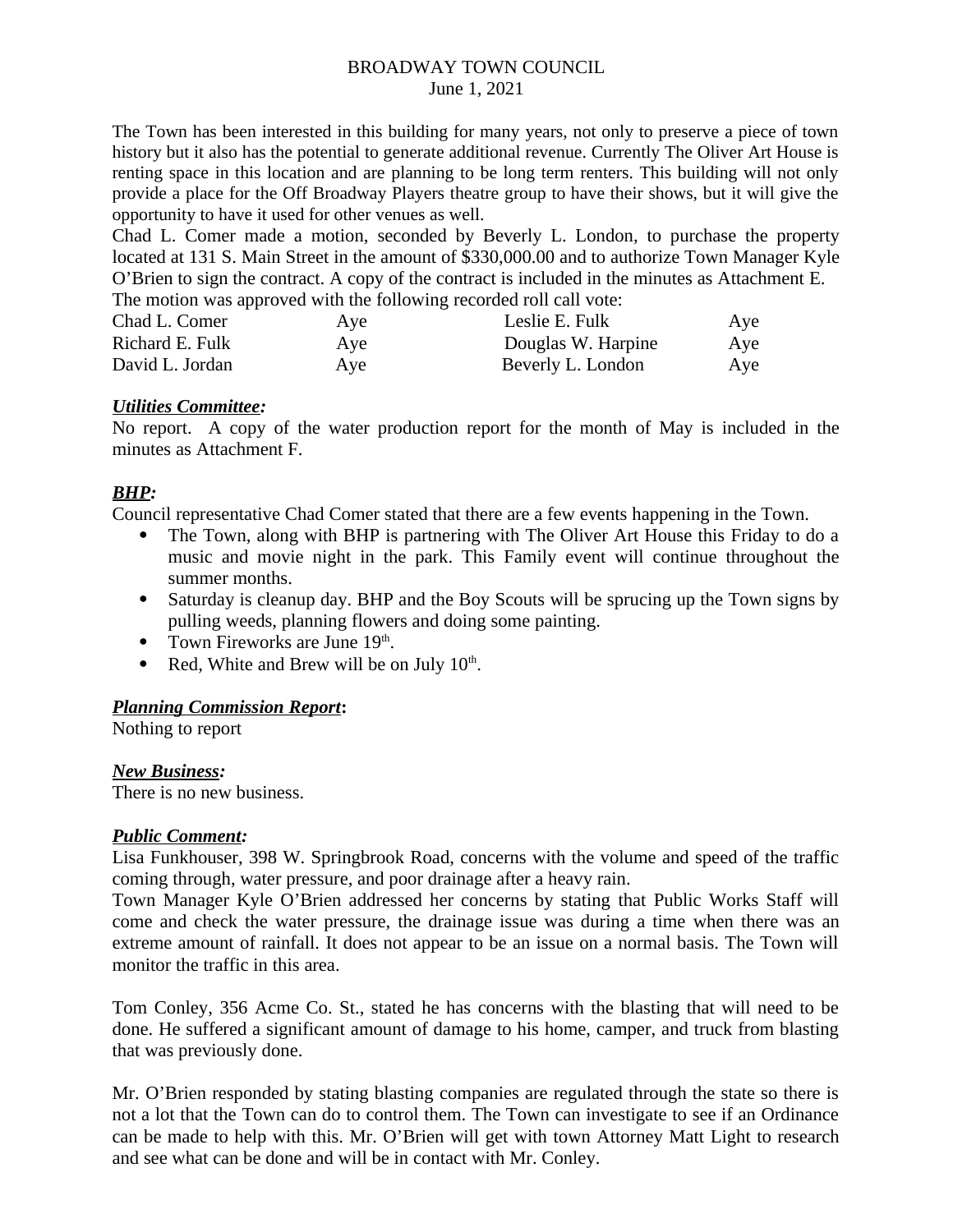The Town has been interested in this building for many years, not only to preserve a piece of town history but it also has the potential to generate additional revenue. Currently The Oliver Art House is renting space in this location and are planning to be long term renters. This building will not only provide a place for the Off Broadway Players theatre group to have their shows, but it will give the opportunity to have it used for other venues as well.

Chad L. Comer made a motion, seconded by Beverly L. London, to purchase the property located at 131 S. Main Street in the amount of \$330,000.00 and to authorize Town Manager Kyle O'Brien to sign the contract. A copy of the contract is included in the minutes as Attachment E. The motion was approved with the following recorded roll call vote:

| Chad L. Comer   | Aye | Leslie E. Fulk     | Aye |
|-----------------|-----|--------------------|-----|
| Richard E. Fulk | Ave | Douglas W. Harpine | Aye |
| David L. Jordan | Aye | Beverly L. London  | Aye |

## *Utilities Committee:*

No report. A copy of the water production report for the month of May is included in the minutes as Attachment F.

# *BHP:*

Council representative Chad Comer stated that there are a few events happening in the Town.

- The Town, along with BHP is partnering with The Oliver Art House this Friday to do a music and movie night in the park. This Family event will continue throughout the summer months.
- Saturday is cleanup day. BHP and the Boy Scouts will be sprucing up the Town signs by pulling weeds, planning flowers and doing some painting.
- Town Fireworks are June  $19<sup>th</sup>$ .
- Red, White and Brew will be on July  $10<sup>th</sup>$ .

# *Planning Commission Report***:**

Nothing to report

## *New Business:*

There is no new business.

## *Public Comment:*

Lisa Funkhouser, 398 W. Springbrook Road, concerns with the volume and speed of the traffic coming through, water pressure, and poor drainage after a heavy rain.

Town Manager Kyle O'Brien addressed her concerns by stating that Public Works Staff will come and check the water pressure, the drainage issue was during a time when there was an extreme amount of rainfall. It does not appear to be an issue on a normal basis. The Town will monitor the traffic in this area.

Tom Conley, 356 Acme Co. St., stated he has concerns with the blasting that will need to be done. He suffered a significant amount of damage to his home, camper, and truck from blasting that was previously done.

Mr. O'Brien responded by stating blasting companies are regulated through the state so there is not a lot that the Town can do to control them. The Town can investigate to see if an Ordinance can be made to help with this. Mr. O'Brien will get with town Attorney Matt Light to research and see what can be done and will be in contact with Mr. Conley.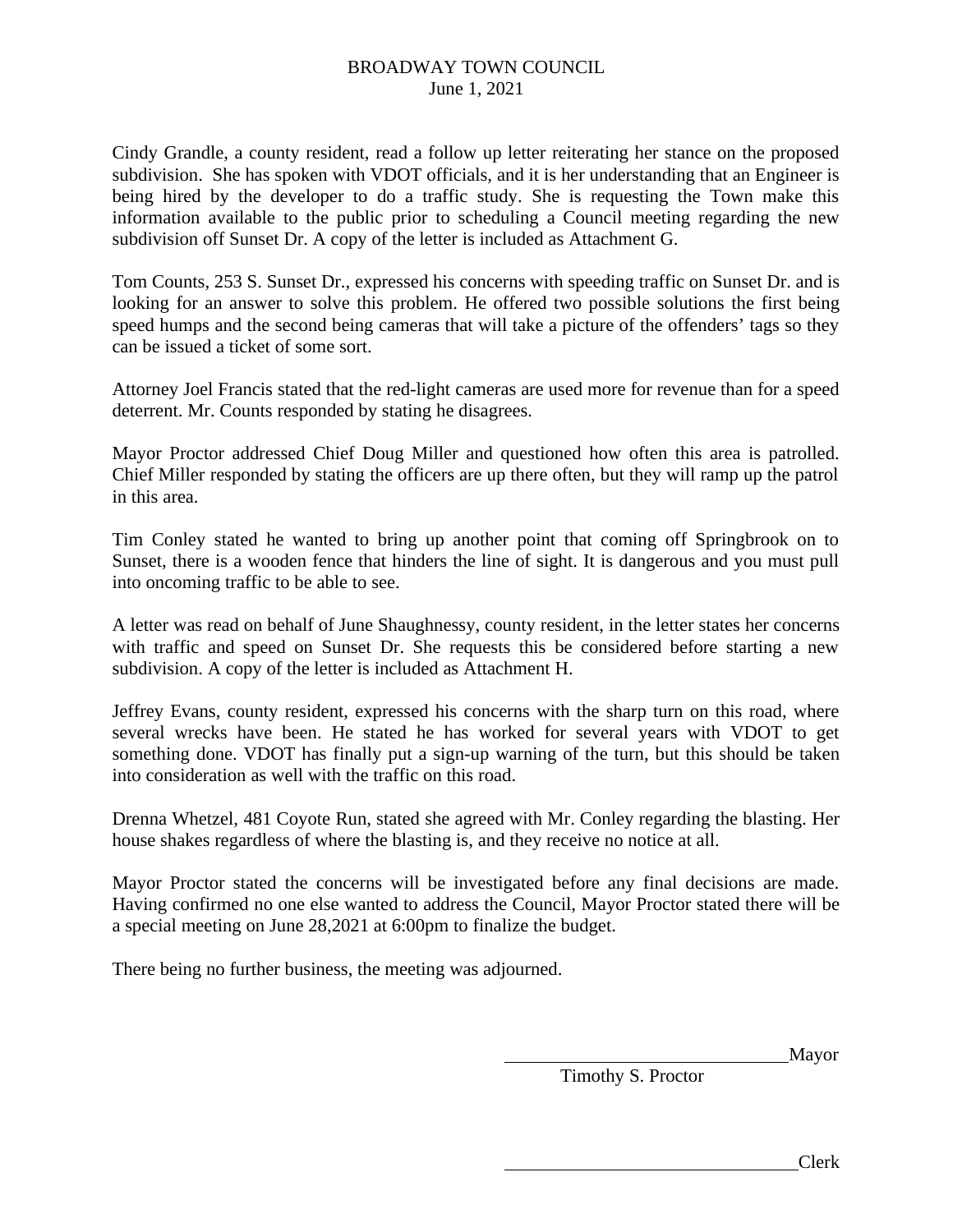Cindy Grandle, a county resident, read a follow up letter reiterating her stance on the proposed subdivision. She has spoken with VDOT officials, and it is her understanding that an Engineer is being hired by the developer to do a traffic study. She is requesting the Town make this information available to the public prior to scheduling a Council meeting regarding the new subdivision off Sunset Dr. A copy of the letter is included as Attachment G.

Tom Counts, 253 S. Sunset Dr., expressed his concerns with speeding traffic on Sunset Dr. and is looking for an answer to solve this problem. He offered two possible solutions the first being speed humps and the second being cameras that will take a picture of the offenders' tags so they can be issued a ticket of some sort.

Attorney Joel Francis stated that the red-light cameras are used more for revenue than for a speed deterrent. Mr. Counts responded by stating he disagrees.

Mayor Proctor addressed Chief Doug Miller and questioned how often this area is patrolled. Chief Miller responded by stating the officers are up there often, but they will ramp up the patrol in this area.

Tim Conley stated he wanted to bring up another point that coming off Springbrook on to Sunset, there is a wooden fence that hinders the line of sight. It is dangerous and you must pull into oncoming traffic to be able to see.

A letter was read on behalf of June Shaughnessy, county resident, in the letter states her concerns with traffic and speed on Sunset Dr. She requests this be considered before starting a new subdivision. A copy of the letter is included as Attachment H.

Jeffrey Evans, county resident, expressed his concerns with the sharp turn on this road, where several wrecks have been. He stated he has worked for several years with VDOT to get something done. VDOT has finally put a sign-up warning of the turn, but this should be taken into consideration as well with the traffic on this road.

Drenna Whetzel, 481 Coyote Run, stated she agreed with Mr. Conley regarding the blasting. Her house shakes regardless of where the blasting is, and they receive no notice at all.

Mayor Proctor stated the concerns will be investigated before any final decisions are made. Having confirmed no one else wanted to address the Council, Mayor Proctor stated there will be a special meeting on June 28,2021 at 6:00pm to finalize the budget.

There being no further business, the meeting was adjourned.

Mayor

Timothy S. Proctor